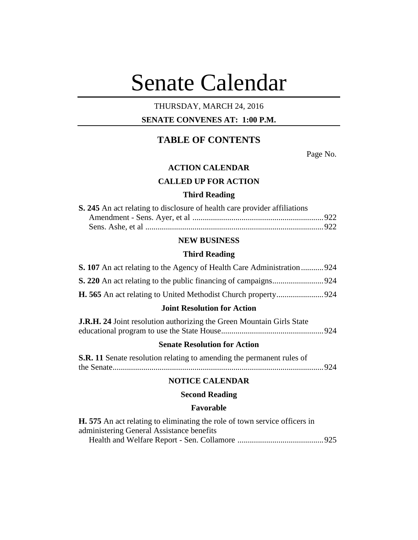# Senate Calendar

# THURSDAY, MARCH 24, 2016

# **SENATE CONVENES AT: 1:00 P.M.**

# **TABLE OF CONTENTS**

Page No.

## **ACTION CALENDAR**

# **CALLED UP FOR ACTION**

## **Third Reading**

| <b>S. 245</b> An act relating to disclosure of health care provider affiliations |  |
|----------------------------------------------------------------------------------|--|
|                                                                                  |  |
|                                                                                  |  |

# **NEW BUSINESS**

#### **Third Reading**

|  | <b>S. 107</b> An act relating to the Agency of Health Care Administration924 |  |
|--|------------------------------------------------------------------------------|--|
|  |                                                                              |  |
|  |                                                                              |  |

# **Joint Resolution for Action**

| <b>J.R.H. 24</b> Joint resolution authorizing the Green Mountain Girls State |  |
|------------------------------------------------------------------------------|--|
|                                                                              |  |

## **Senate Resolution for Action**

| <b>S.R. 11</b> Senate resolution relating to amending the permanent rules of |  |
|------------------------------------------------------------------------------|--|
|                                                                              |  |

# **NOTICE CALENDAR**

## **Second Reading**

#### **Favorable**

| <b>H.</b> 575 An act relating to eliminating the role of town service officers in |  |
|-----------------------------------------------------------------------------------|--|
| administering General Assistance benefits                                         |  |
|                                                                                   |  |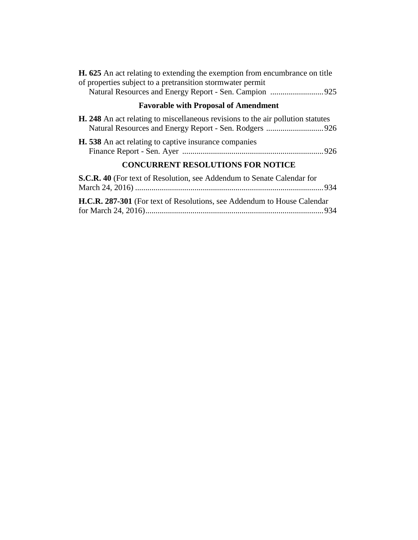| <b>H. 625</b> An act relating to extending the exemption from encumbrance on title     |
|----------------------------------------------------------------------------------------|
| of properties subject to a pretransition stormwater permit                             |
|                                                                                        |
| <b>Favorable with Proposal of Amendment</b>                                            |
| <b>H. 248</b> An act relating to miscellaneous revisions to the air pollution statutes |
| <b>H.</b> 538 An act relating to captive insurance companies                           |
| <b>CONCURRENT RESOLUTIONS FOR NOTICE</b>                                               |
| S.C.R. 40 (For text of Resolution, see Addendum to Senate Calendar for                 |

| H.C.R. 287-301 (For text of Resolutions, see Addendum to House Calendar) |  |
|--------------------------------------------------------------------------|--|
|                                                                          |  |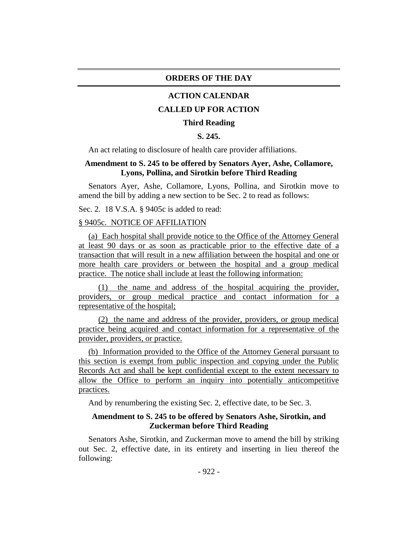#### **ORDERS OF THE DAY**

#### **ACTION CALENDAR**

## **CALLED UP FOR ACTION**

#### **Third Reading**

## **S. 245.**

An act relating to disclosure of health care provider affiliations.

## **Amendment to S. 245 to be offered by Senators Ayer, Ashe, Collamore, Lyons, Pollina, and Sirotkin before Third Reading**

Senators Ayer, Ashe, Collamore, Lyons, Pollina, and Sirotkin move to amend the bill by adding a new section to be Sec. 2 to read as follows:

Sec. 2. 18 V.S.A. § 9405c is added to read:

## § 9405c. NOTICE OF AFFILIATION

(a) Each hospital shall provide notice to the Office of the Attorney General at least 90 days or as soon as practicable prior to the effective date of a transaction that will result in a new affiliation between the hospital and one or more health care providers or between the hospital and a group medical practice. The notice shall include at least the following information:

(1) the name and address of the hospital acquiring the provider, providers, or group medical practice and contact information for a representative of the hospital;

(2) the name and address of the provider, providers, or group medical practice being acquired and contact information for a representative of the provider, providers, or practice.

(b) Information provided to the Office of the Attorney General pursuant to this section is exempt from public inspection and copying under the Public Records Act and shall be kept confidential except to the extent necessary to allow the Office to perform an inquiry into potentially anticompetitive practices.

And by renumbering the existing Sec. 2, effective date, to be Sec. 3.

## **Amendment to S. 245 to be offered by Senators Ashe, Sirotkin, and Zuckerman before Third Reading**

Senators Ashe, Sirotkin, and Zuckerman move to amend the bill by striking out Sec. 2, effective date, in its entirety and inserting in lieu thereof the following: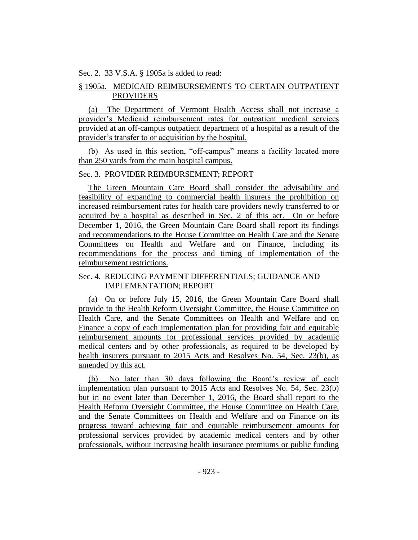Sec. 2. 33 V.S.A. § 1905a is added to read:

# § 1905a. MEDICAID REIMBURSEMENTS TO CERTAIN OUTPATIENT PROVIDERS

(a) The Department of Vermont Health Access shall not increase a provider's Medicaid reimbursement rates for outpatient medical services provided at an off-campus outpatient department of a hospital as a result of the provider's transfer to or acquisition by the hospital.

(b) As used in this section, "off-campus" means a facility located more than 250 yards from the main hospital campus.

## Sec. 3. PROVIDER REIMBURSEMENT; REPORT

The Green Mountain Care Board shall consider the advisability and feasibility of expanding to commercial health insurers the prohibition on increased reimbursement rates for health care providers newly transferred to or acquired by a hospital as described in Sec. 2 of this act. On or before December 1, 2016, the Green Mountain Care Board shall report its findings and recommendations to the House Committee on Health Care and the Senate Committees on Health and Welfare and on Finance, including its recommendations for the process and timing of implementation of the reimbursement restrictions.

## Sec. 4. REDUCING PAYMENT DIFFERENTIALS; GUIDANCE AND IMPLEMENTATION; REPORT

(a) On or before July 15, 2016, the Green Mountain Care Board shall provide to the Health Reform Oversight Committee, the House Committee on Health Care, and the Senate Committees on Health and Welfare and on Finance a copy of each implementation plan for providing fair and equitable reimbursement amounts for professional services provided by academic medical centers and by other professionals, as required to be developed by health insurers pursuant to 2015 Acts and Resolves No. 54, Sec. 23(b), as amended by this act.

(b) No later than 30 days following the Board's review of each implementation plan pursuant to 2015 Acts and Resolves No. 54, Sec. 23(b) but in no event later than December 1, 2016, the Board shall report to the Health Reform Oversight Committee, the House Committee on Health Care, and the Senate Committees on Health and Welfare and on Finance on its progress toward achieving fair and equitable reimbursement amounts for professional services provided by academic medical centers and by other professionals, without increasing health insurance premiums or public funding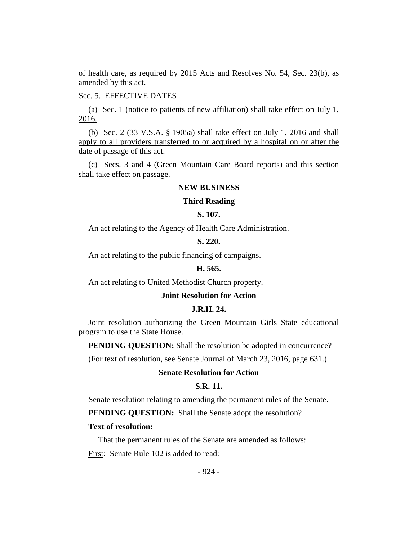of health care, as required by 2015 Acts and Resolves No. 54, Sec. 23(b), as amended by this act.

Sec. 5. EFFECTIVE DATES

(a) Sec. 1 (notice to patients of new affiliation) shall take effect on July 1, 2016.

(b) Sec. 2 (33 V.S.A. § 1905a) shall take effect on July 1, 2016 and shall apply to all providers transferred to or acquired by a hospital on or after the date of passage of this act.

(c) Secs. 3 and 4 (Green Mountain Care Board reports) and this section shall take effect on passage.

#### **NEW BUSINESS**

#### **Third Reading**

#### **S. 107.**

An act relating to the Agency of Health Care Administration.

**S. 220.**

An act relating to the public financing of campaigns.

#### **H. 565.**

An act relating to United Methodist Church property.

#### **Joint Resolution for Action**

## **J.R.H. 24.**

Joint resolution authorizing the Green Mountain Girls State educational program to use the State House.

**PENDING QUESTION:** Shall the resolution be adopted in concurrence?

(For text of resolution, see Senate Journal of March 23, 2016, page 631.)

## **Senate Resolution for Action**

#### **S.R. 11.**

Senate resolution relating to amending the permanent rules of the Senate.

**PENDING QUESTION:** Shall the Senate adopt the resolution?

#### **Text of resolution:**

That the permanent rules of the Senate are amended as follows:

First: Senate Rule 102 is added to read: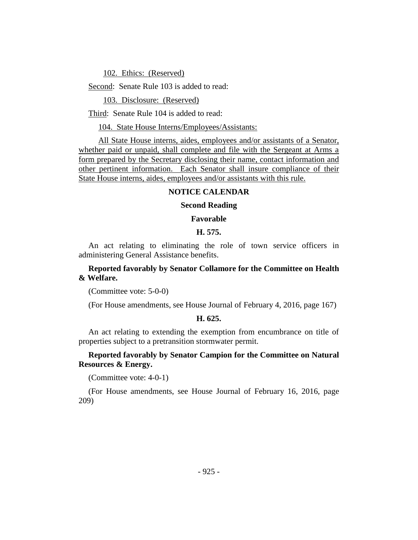102. Ethics: (Reserved)

Second: Senate Rule 103 is added to read:

103. Disclosure: (Reserved)

Third: Senate Rule 104 is added to read:

104. State House Interns/Employees/Assistants:

All State House interns, aides, employees and/or assistants of a Senator, whether paid or unpaid, shall complete and file with the Sergeant at Arms a form prepared by the Secretary disclosing their name, contact information and other pertinent information. Each Senator shall insure compliance of their State House interns, aides, employees and/or assistants with this rule.

## **NOTICE CALENDAR**

#### **Second Reading**

#### **Favorable**

#### **H. 575.**

An act relating to eliminating the role of town service officers in administering General Assistance benefits.

## **Reported favorably by Senator Collamore for the Committee on Health & Welfare.**

(Committee vote: 5-0-0)

(For House amendments, see House Journal of February 4, 2016, page 167)

## **H. 625.**

An act relating to extending the exemption from encumbrance on title of properties subject to a pretransition stormwater permit.

#### **Reported favorably by Senator Campion for the Committee on Natural Resources & Energy.**

(Committee vote: 4-0-1)

(For House amendments, see House Journal of February 16, 2016, page 209)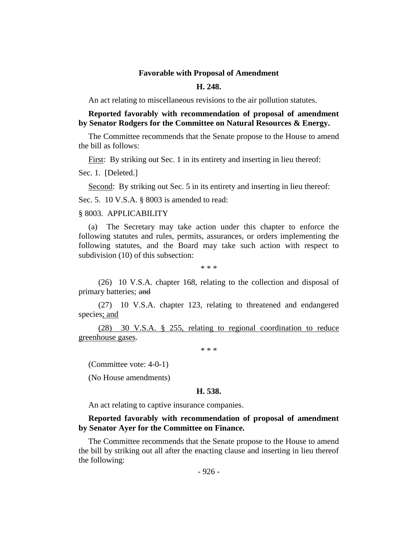#### **Favorable with Proposal of Amendment**

## **H. 248.**

An act relating to miscellaneous revisions to the air pollution statutes.

**Reported favorably with recommendation of proposal of amendment by Senator Rodgers for the Committee on Natural Resources & Energy.**

The Committee recommends that the Senate propose to the House to amend the bill as follows:

First: By striking out Sec. 1 in its entirety and inserting in lieu thereof:

Sec. 1. [Deleted.]

Second: By striking out Sec. 5 in its entirety and inserting in lieu thereof:

Sec. 5. 10 V.S.A. § 8003 is amended to read:

## § 8003. APPLICABILITY

(a) The Secretary may take action under this chapter to enforce the following statutes and rules, permits, assurances, or orders implementing the following statutes, and the Board may take such action with respect to subdivision (10) of this subsection:

\* \* \*

(26) 10 V.S.A. chapter 168, relating to the collection and disposal of primary batteries; and

(27) 10 V.S.A. chapter 123, relating to threatened and endangered species; and

(28) 30 V.S.A. § 255, relating to regional coordination to reduce greenhouse gases.

\* \* \*

(Committee vote: 4-0-1)

(No House amendments)

#### **H. 538.**

An act relating to captive insurance companies.

## **Reported favorably with recommendation of proposal of amendment by Senator Ayer for the Committee on Finance.**

The Committee recommends that the Senate propose to the House to amend the bill by striking out all after the enacting clause and inserting in lieu thereof the following: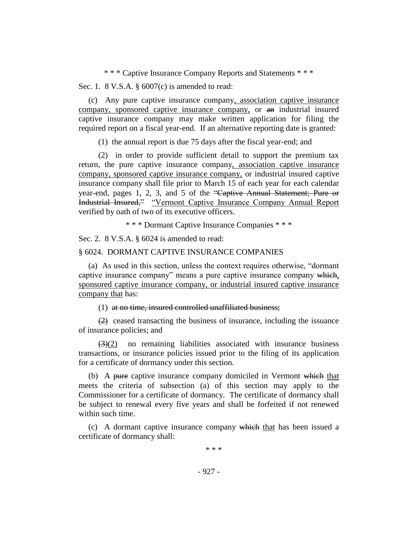\* \* \* Captive Insurance Company Reports and Statements \* \* \*

Sec. 1. 8 V.S.A. § 6007(c) is amended to read:

(c) Any pure captive insurance company, association captive insurance company, sponsored captive insurance company, or an industrial insured captive insurance company may make written application for filing the required report on a fiscal year-end. If an alternative reporting date is granted:

(1) the annual report is due 75 days after the fiscal year-end; and

(2) in order to provide sufficient detail to support the premium tax return, the pure captive insurance company, association captive insurance company, sponsored captive insurance company, or industrial insured captive insurance company shall file prior to March 15 of each year for each calendar year-end, pages 1, 2, 3, and 5 of the "Captive Annual Statement; Pure or Industrial Insured," "Vermont Captive Insurance Company Annual Report verified by oath of two of its executive officers.

\* \* \* Dormant Captive Insurance Companies \* \* \*

Sec. 2. 8 V.S.A. § 6024 is amended to read:

#### § 6024. DORMANT CAPTIVE INSURANCE COMPANIES

(a) As used in this section, unless the context requires otherwise, "dormant captive insurance company" means a pure captive insurance company which, sponsored captive insurance company, or industrial insured captive insurance company that has:

#### (1) at no time, insured controlled unaffiliated business;

(2) ceased transacting the business of insurance, including the issuance of insurance policies; and

 $\left(\frac{3}{2}\right)$  no remaining liabilities associated with insurance business transactions, or insurance policies issued prior to the filing of its application for a certificate of dormancy under this section.

(b) A pure captive insurance company domiciled in Vermont which that meets the criteria of subsection (a) of this section may apply to the Commissioner for a certificate of dormancy. The certificate of dormancy shall be subject to renewal every five years and shall be forfeited if not renewed within such time.

(c) A dormant captive insurance company which that has been issued a certificate of dormancy shall:

\* \* \*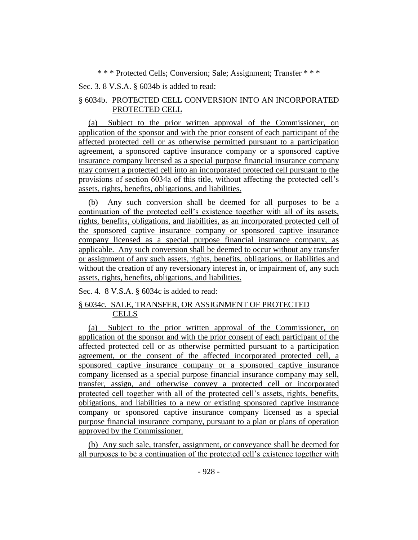\* \* \* Protected Cells; Conversion; Sale; Assignment; Transfer \* \* \*

Sec. 3. 8 V.S.A. § 6034b is added to read:

# § 6034b. PROTECTED CELL CONVERSION INTO AN INCORPORATED PROTECTED CELL

(a) Subject to the prior written approval of the Commissioner, on application of the sponsor and with the prior consent of each participant of the affected protected cell or as otherwise permitted pursuant to a participation agreement, a sponsored captive insurance company or a sponsored captive insurance company licensed as a special purpose financial insurance company may convert a protected cell into an incorporated protected cell pursuant to the provisions of section 6034a of this title, without affecting the protected cell's assets, rights, benefits, obligations, and liabilities.

(b) Any such conversion shall be deemed for all purposes to be a continuation of the protected cell's existence together with all of its assets, rights, benefits, obligations, and liabilities, as an incorporated protected cell of the sponsored captive insurance company or sponsored captive insurance company licensed as a special purpose financial insurance company, as applicable. Any such conversion shall be deemed to occur without any transfer or assignment of any such assets, rights, benefits, obligations, or liabilities and without the creation of any reversionary interest in, or impairment of, any such assets, rights, benefits, obligations, and liabilities.

Sec. 4. 8 V.S.A. § 6034c is added to read:

# § 6034c. SALE, TRANSFER, OR ASSIGNMENT OF PROTECTED **CELLS**

(a) Subject to the prior written approval of the Commissioner, on application of the sponsor and with the prior consent of each participant of the affected protected cell or as otherwise permitted pursuant to a participation agreement, or the consent of the affected incorporated protected cell, a sponsored captive insurance company or a sponsored captive insurance company licensed as a special purpose financial insurance company may sell, transfer, assign, and otherwise convey a protected cell or incorporated protected cell together with all of the protected cell's assets, rights, benefits, obligations, and liabilities to a new or existing sponsored captive insurance company or sponsored captive insurance company licensed as a special purpose financial insurance company, pursuant to a plan or plans of operation approved by the Commissioner.

(b) Any such sale, transfer, assignment, or conveyance shall be deemed for all purposes to be a continuation of the protected cell's existence together with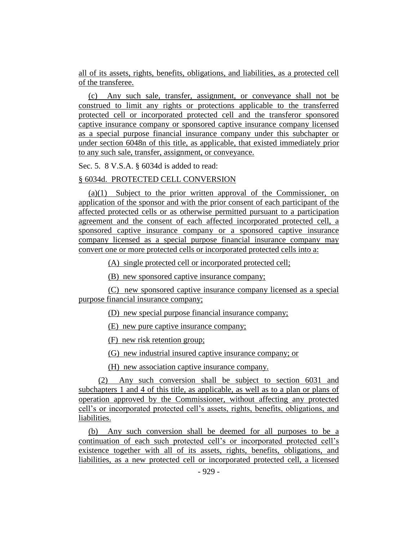all of its assets, rights, benefits, obligations, and liabilities, as a protected cell of the transferee.

(c) Any such sale, transfer, assignment, or conveyance shall not be construed to limit any rights or protections applicable to the transferred protected cell or incorporated protected cell and the transferor sponsored captive insurance company or sponsored captive insurance company licensed as a special purpose financial insurance company under this subchapter or under section 6048n of this title, as applicable, that existed immediately prior to any such sale, transfer, assignment, or conveyance.

Sec. 5. 8 V.S.A. § 6034d is added to read:

#### § 6034d. PROTECTED CELL CONVERSION

(a)(1) Subject to the prior written approval of the Commissioner, on application of the sponsor and with the prior consent of each participant of the affected protected cells or as otherwise permitted pursuant to a participation agreement and the consent of each affected incorporated protected cell, a sponsored captive insurance company or a sponsored captive insurance company licensed as a special purpose financial insurance company may convert one or more protected cells or incorporated protected cells into a:

(A) single protected cell or incorporated protected cell;

(B) new sponsored captive insurance company;

(C) new sponsored captive insurance company licensed as a special purpose financial insurance company;

(D) new special purpose financial insurance company;

(E) new pure captive insurance company;

(F) new risk retention group;

(G) new industrial insured captive insurance company; or

(H) new association captive insurance company.

(2) Any such conversion shall be subject to section 6031 and subchapters 1 and 4 of this title, as applicable, as well as to a plan or plans of operation approved by the Commissioner, without affecting any protected cell's or incorporated protected cell's assets, rights, benefits, obligations, and liabilities.

(b) Any such conversion shall be deemed for all purposes to be a continuation of each such protected cell's or incorporated protected cell's existence together with all of its assets, rights, benefits, obligations, and liabilities, as a new protected cell or incorporated protected cell, a licensed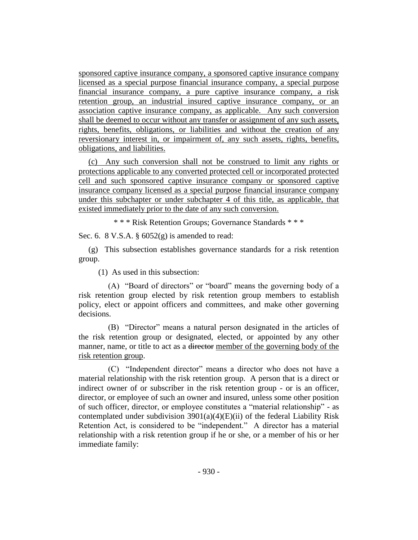sponsored captive insurance company, a sponsored captive insurance company licensed as a special purpose financial insurance company, a special purpose financial insurance company, a pure captive insurance company, a risk retention group, an industrial insured captive insurance company, or an association captive insurance company, as applicable. Any such conversion shall be deemed to occur without any transfer or assignment of any such assets, rights, benefits, obligations, or liabilities and without the creation of any reversionary interest in, or impairment of, any such assets, rights, benefits, obligations, and liabilities.

(c) Any such conversion shall not be construed to limit any rights or protections applicable to any converted protected cell or incorporated protected cell and such sponsored captive insurance company or sponsored captive insurance company licensed as a special purpose financial insurance company under this subchapter or under subchapter 4 of this title, as applicable, that existed immediately prior to the date of any such conversion.

\* \* \* Risk Retention Groups; Governance Standards \* \* \*

Sec. 6. 8 V.S.A. § 6052(g) is amended to read:

(g) This subsection establishes governance standards for a risk retention group.

(1) As used in this subsection:

(A) "Board of directors" or "board" means the governing body of a risk retention group elected by risk retention group members to establish policy, elect or appoint officers and committees, and make other governing decisions.

(B) "Director" means a natural person designated in the articles of the risk retention group or designated, elected, or appointed by any other manner, name, or title to act as a director member of the governing body of the risk retention group.

(C) "Independent director" means a director who does not have a material relationship with the risk retention group. A person that is a direct or indirect owner of or subscriber in the risk retention group - or is an officer, director, or employee of such an owner and insured, unless some other position of such officer, director, or employee constitutes a "material relationship" - as contemplated under subdivision  $3901(a)(4)(E)(ii)$  of the federal Liability Risk Retention Act, is considered to be "independent." A director has a material relationship with a risk retention group if he or she, or a member of his or her immediate family: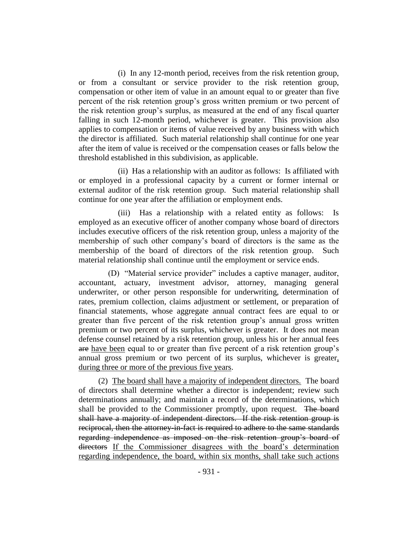(i) In any 12-month period, receives from the risk retention group, or from a consultant or service provider to the risk retention group, compensation or other item of value in an amount equal to or greater than five percent of the risk retention group's gross written premium or two percent of the risk retention group's surplus, as measured at the end of any fiscal quarter falling in such 12-month period, whichever is greater. This provision also applies to compensation or items of value received by any business with which the director is affiliated. Such material relationship shall continue for one year after the item of value is received or the compensation ceases or falls below the threshold established in this subdivision, as applicable.

(ii) Has a relationship with an auditor as follows: Is affiliated with or employed in a professional capacity by a current or former internal or external auditor of the risk retention group. Such material relationship shall continue for one year after the affiliation or employment ends.

(iii) Has a relationship with a related entity as follows: Is employed as an executive officer of another company whose board of directors includes executive officers of the risk retention group, unless a majority of the membership of such other company's board of directors is the same as the membership of the board of directors of the risk retention group. Such material relationship shall continue until the employment or service ends.

(D) "Material service provider" includes a captive manager, auditor, accountant, actuary, investment advisor, attorney, managing general underwriter, or other person responsible for underwriting, determination of rates, premium collection, claims adjustment or settlement, or preparation of financial statements, whose aggregate annual contract fees are equal to or greater than five percent of the risk retention group's annual gross written premium or two percent of its surplus, whichever is greater. It does not mean defense counsel retained by a risk retention group, unless his or her annual fees are have been equal to or greater than five percent of a risk retention group's annual gross premium or two percent of its surplus, whichever is greater, during three or more of the previous five years.

(2) The board shall have a majority of independent directors. The board of directors shall determine whether a director is independent; review such determinations annually; and maintain a record of the determinations, which shall be provided to the Commissioner promptly, upon request. The board shall have a majority of independent directors. If the risk retention group is reciprocal, then the attorney-in-fact is required to adhere to the same standards regarding independence as imposed on the risk retention group's board of directors If the Commissioner disagrees with the board's determination regarding independence, the board, within six months, shall take such actions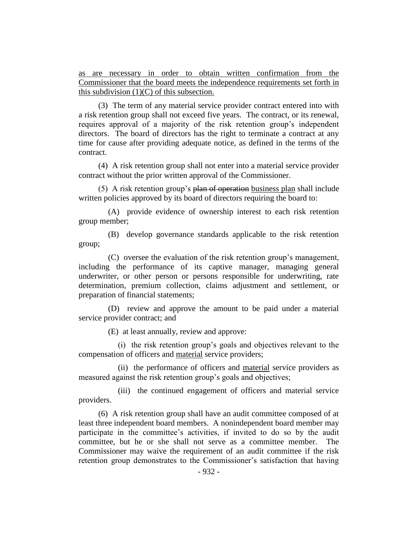as are necessary in order to obtain written confirmation from the Commissioner that the board meets the independence requirements set forth in this subdivision (1)(C) of this subsection.

(3) The term of any material service provider contract entered into with a risk retention group shall not exceed five years. The contract, or its renewal, requires approval of a majority of the risk retention group's independent directors. The board of directors has the right to terminate a contract at any time for cause after providing adequate notice, as defined in the terms of the contract.

(4) A risk retention group shall not enter into a material service provider contract without the prior written approval of the Commissioner.

(5) A risk retention group's plan of operation business plan shall include written policies approved by its board of directors requiring the board to:

(A) provide evidence of ownership interest to each risk retention group member;

(B) develop governance standards applicable to the risk retention group;

(C) oversee the evaluation of the risk retention group's management, including the performance of its captive manager, managing general underwriter, or other person or persons responsible for underwriting, rate determination, premium collection, claims adjustment and settlement, or preparation of financial statements;

(D) review and approve the amount to be paid under a material service provider contract; and

(E) at least annually, review and approve:

(i) the risk retention group's goals and objectives relevant to the compensation of officers and material service providers;

(ii) the performance of officers and material service providers as measured against the risk retention group's goals and objectives;

(iii) the continued engagement of officers and material service providers.

(6) A risk retention group shall have an audit committee composed of at least three independent board members. A nonindependent board member may participate in the committee's activities, if invited to do so by the audit committee, but he or she shall not serve as a committee member. The Commissioner may waive the requirement of an audit committee if the risk retention group demonstrates to the Commissioner's satisfaction that having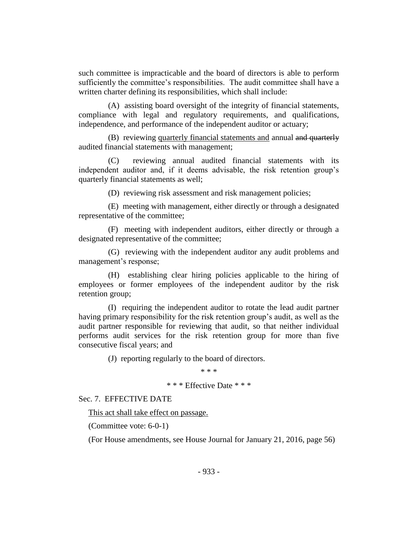such committee is impracticable and the board of directors is able to perform sufficiently the committee's responsibilities. The audit committee shall have a written charter defining its responsibilities, which shall include:

(A) assisting board oversight of the integrity of financial statements, compliance with legal and regulatory requirements, and qualifications, independence, and performance of the independent auditor or actuary;

(B) reviewing quarterly financial statements and annual and quarterly audited financial statements with management;

(C) reviewing annual audited financial statements with its independent auditor and, if it deems advisable, the risk retention group's quarterly financial statements as well;

(D) reviewing risk assessment and risk management policies;

(E) meeting with management, either directly or through a designated representative of the committee;

(F) meeting with independent auditors, either directly or through a designated representative of the committee;

(G) reviewing with the independent auditor any audit problems and management's response;

(H) establishing clear hiring policies applicable to the hiring of employees or former employees of the independent auditor by the risk retention group;

(I) requiring the independent auditor to rotate the lead audit partner having primary responsibility for the risk retention group's audit, as well as the audit partner responsible for reviewing that audit, so that neither individual performs audit services for the risk retention group for more than five consecutive fiscal years; and

(J) reporting regularly to the board of directors.

\* \* \*

\* \* \* Effective Date \* \* \*

Sec. 7. EFFECTIVE DATE

This act shall take effect on passage.

(Committee vote: 6-0-1)

(For House amendments, see House Journal for January 21, 2016, page 56)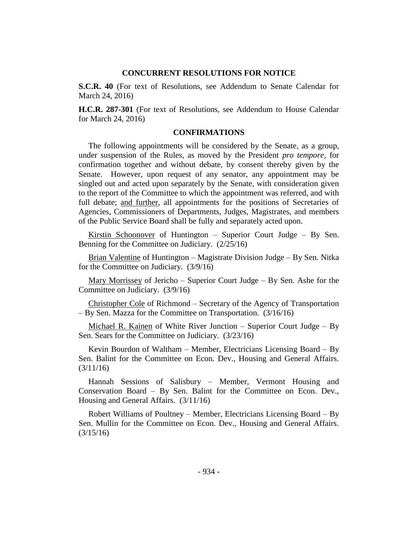#### **CONCURRENT RESOLUTIONS FOR NOTICE**

**S.C.R. 40** (For text of Resolutions, see Addendum to Senate Calendar for March 24, 2016)

**H.C.R. 287-301** (For text of Resolutions, see Addendum to House Calendar for March 24, 2016)

#### **CONFIRMATIONS**

The following appointments will be considered by the Senate, as a group, under suspension of the Rules, as moved by the President *pro tempore,* for confirmation together and without debate, by consent thereby given by the Senate. However, upon request of any senator, any appointment may be singled out and acted upon separately by the Senate, with consideration given to the report of the Committee to which the appointment was referred, and with full debate; and further, all appointments for the positions of Secretaries of Agencies, Commissioners of Departments, Judges, Magistrates, and members of the Public Service Board shall be fully and separately acted upon.

Kirstin Schoonover of Huntington – Superior Court Judge – By Sen. Benning for the Committee on Judiciary. (2/25/16)

Brian Valentine of Huntington – Magistrate Division Judge – By Sen. Nitka for the Committee on Judiciary. (3/9/16)

Mary Morrissey of Jericho – Superior Court Judge – By Sen. Ashe for the Committee on Judiciary. (3/9/16)

Christopher Cole of Richmond – Secretary of the Agency of Transportation – By Sen. Mazza for the Committee on Transportation. (3/16/16)

Michael R. Kainen of White River Junction – Superior Court Judge – By Sen. Sears for the Committee on Judiciary. (3/23/16)

Kevin Bourdon of Waltham – Member, Electricians Licensing Board – By Sen. Balint for the Committee on Econ. Dev., Housing and General Affairs. (3/11/16)

Hannah Sessions of Salisbury – Member, Vermont Housing and Conservation Board – By Sen. Balint for the Committee on Econ. Dev., Housing and General Affairs. (3/11/16)

Robert Williams of Poultney – Member, Electricians Licensing Board – By Sen. Mullin for the Committee on Econ. Dev., Housing and General Affairs. (3/15/16)